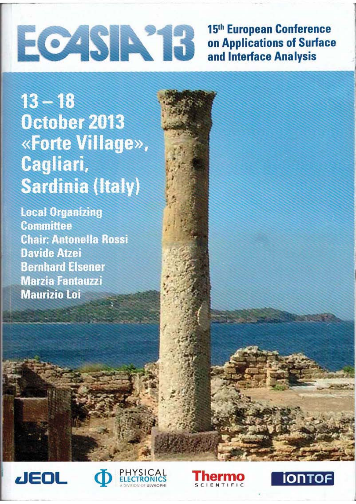# ECAS Nº1

15th European Conference on Applications of Surface and Interface Analysis

 $13 - 18$ October 2013 «Forte Village», Cagliari, **Sardinia (Italy)** 

**Local Organizing Committee Chair: Antonella Rossi Davide Atzei Bernhard Elsener Marzia Fantauzzi Maurizio Loi** 







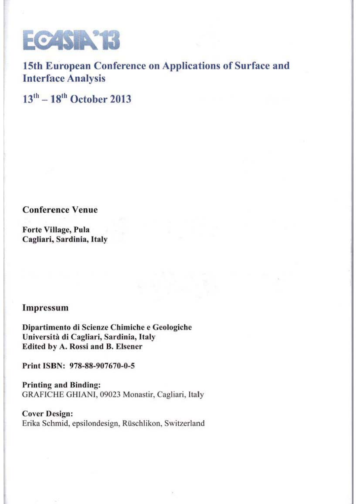

15th European Conference on Applications of Surface and Interface Analysis

 $13<sup>th</sup> - 18<sup>th</sup>$  October 2013

Conference Venue

Forte Village, Pula Cagliari, Sardinia, Italy

## Impressum

Dipartimento di Scienzc Chimichc e Geologiche Università di Cagliari, Sardinia, Italy Edited by A. Rossi and B. Elsener

Print ISBN: 978-88-907670-0-5

Printing and Binding: GRAFICHE GHIANI, 09023 Monastir, Cagliari, Italy

Cover Design: Erika Schmid, epsilondesign, Rüschlikon, Switzerland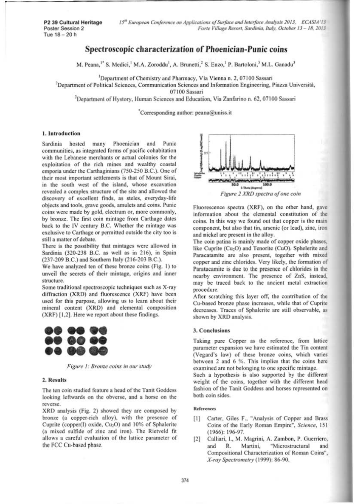### Spectroscopic characterization of Phoenician-Punic coins

M. Peana,<sup>1\*</sup> S. Medici,<sup>1</sup> M.A. Zoroddu<sup>1</sup>, A. Brunetti,<sup>2</sup> S. Enzo,<sup>1</sup> P. Bartoloni,<sup>3</sup> M.L. Ganadu<sup>3</sup>

Department of Chemistry and Pharmacy, Via Vienna n. 2, 07100 Sassari

<sup>2</sup>Department of Political Sciences, Communication Sciences and Information Engineering, Piazza Università,

07100 Sassari

<sup>3</sup>Department of Hystory, Human Sciences and Education, Via Zanfarino n. 62, 07100 Sassari

Corresponding author: peana@uniss.it

#### 1. Introduction

Phoenician and Sardinia hosted many Punic communities, as integrated forms of pacific cohabitation with the Lebanese merchants or actual colonies for the exploitation of the rich mines and wealthy coastal emporia under the Carthaginians (750-250 B.C.). One of their most important settlements is that of Mount Sirai, in the south west of the island, whose excavation revealed a complex structure of the site and allowed the discovery of excellent finds, as steles, everyday-life objects and tools, grave goods, amulets and coins. Punic coins were made by gold, electrum or, more commonly, by bronze. The first coin mintage from Carthage dates back to the IV century B.C. Whether the mintage was exclusive to Carthage or permitted outside the city too is still a matter of debate.

There is the possibility that mintages were allowed in Sardinia (320-238 B.C. as well as in 216), in Spain (237-209 B.C.) and Southern Italy (216-203 B.C.).

We have analyzed ten of these bronze coins (Fig. 1) to unveil the secrets of their mintage, origins and inner structure.

Some traditional spectroscopic techniques such as X-ray diffraction (XRD) and fluorescence (XRF) have been used for this purpose, allowing us to learn about their mineral content (XRD) and elemental composition (XRF) [1,2]. Here we report about these findings.



Figure 1: Bronze coins in our study

#### 2. Results

The ten coin studied feature a head of the Tanit Goddess looking leftwards on the obverse, and a horse on the reverse.

XRD analysis (Fig. 2) showed they are composed by bronze (a copper-rich alloy), with the presence of Cuprite (copper(I) oxide, Cu<sub>2</sub>O) and 10% of Sphalerite (a mixed sulfide of zinc and iron). The Rietveld fit allows a careful evaluation of the lattice parameter of the FCC Cu-based phase.



Fluorescence spectra (XRF), on the other hand, gave information about the elemental constitution of the coins. In this way we found out that copper is the main component, but also that tin, arsenic (or lead), zinc, iron and nickel are present in the alloy.

The coin patina is mainly made of copper oxide phases, like Cuprite (Cu<sub>2</sub>O) and Tenorite (CuO). Sphelerite and Paracatamite are also present, together with mixed copper and zinc chlorides. Very likely, the formation of Paratacamite is due to the presence of chlorides in the nearby environment. The presence of ZnS, instead, may be traced back to the ancient metal extraction procedure.

After scratching this layer off, the contribution of the Cu-based bronze phase increases, while that of Cuprite decreases. Traces of Sphalerite are still observable, as shown by XRD analysis.

#### 3. Conclusions

Taking pure Copper as the reference, from lattice parameter expansion we have estimated the Tin content (Vegard's law) of these bronze coins, which varies between 2 and 6 %. This implies that the coins here examined are not belonging to one specific mintage.

Such a hypothesis is also supported by the different weight of the coins, together with the different head fashion of the Tanit Goddess and horses represented on both coin sides.

#### **References**

- [1] Carter, Giles F., "Analysis of Copper and Brass Coins of the Early Roman Empire", Science, 151  $(1966): 196-97.$
- [2] Calliari, I., M. Magrini, A. Zambon, P. Guerriero, and R. Martini, "Microstructural and Compositional Characterization of Roman Coins", X-ray Spectrometry (1999): 86-90.